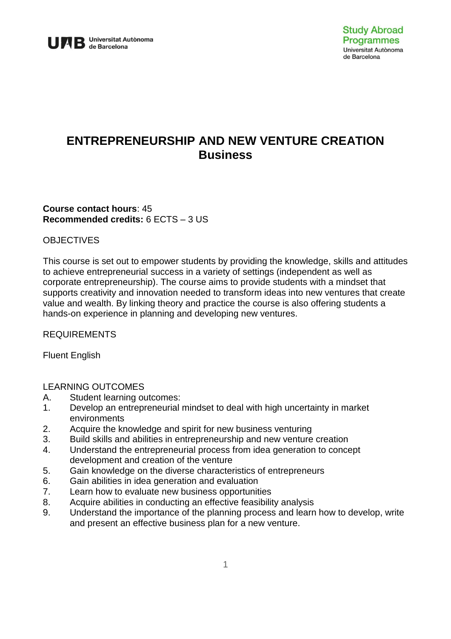

# **ENTREPRENEURSHIP AND NEW VENTURE CREATION Business**

#### **Course contact hours**: 45 **Recommended credits:** 6 ECTS – 3 US

## **OBJECTIVES**

This course is set out to empower students by providing the knowledge, skills and attitudes to achieve entrepreneurial success in a variety of settings (independent as well as corporate entrepreneurship). The course aims to provide students with a mindset that supports creativity and innovation needed to transform ideas into new ventures that create value and wealth. By linking theory and practice the course is also offering students a hands-on experience in planning and developing new ventures.

#### REQUIREMENTS

Fluent English

#### LEARNING OUTCOMES

- A. Student learning outcomes:
- 1. Develop an entrepreneurial mindset to deal with high uncertainty in market environments
- 2. Acquire the knowledge and spirit for new business venturing
- 3. Build skills and abilities in entrepreneurship and new venture creation
- 4. Understand the entrepreneurial process from idea generation to concept development and creation of the venture
- 5. Gain knowledge on the diverse characteristics of entrepreneurs
- 6. Gain abilities in idea generation and evaluation
- 7. Learn how to evaluate new business opportunities
- 8. Acquire abilities in conducting an effective feasibility analysis
- 9. Understand the importance of the planning process and learn how to develop, write and present an effective business plan for a new venture.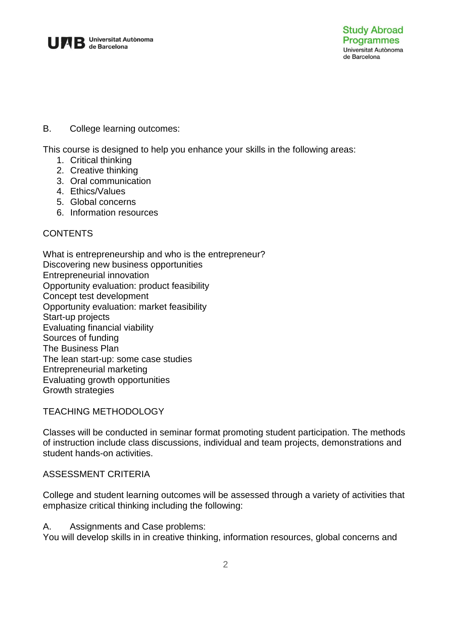

### B. College learning outcomes:

This course is designed to help you enhance your skills in the following areas:

- 1. Critical thinking
- 2. Creative thinking
- 3. Oral communication
- 4. Ethics/Values
- 5. Global concerns
- 6. Information resources

## **CONTENTS**

What is entrepreneurship and who is the entrepreneur? Discovering new business opportunities Entrepreneurial innovation Opportunity evaluation: product feasibility Concept test development Opportunity evaluation: market feasibility Start-up projects Evaluating financial viability Sources of funding The Business Plan The lean start-up: some case studies Entrepreneurial marketing Evaluating growth opportunities Growth strategies

TEACHING METHODOLOGY

Classes will be conducted in seminar format promoting student participation. The methods of instruction include class discussions, individual and team projects, demonstrations and student hands-on activities.

#### ASSESSMENT CRITERIA

College and student learning outcomes will be assessed through a variety of activities that emphasize critical thinking including the following:

A. Assignments and Case problems:

You will develop skills in in creative thinking, information resources, global concerns and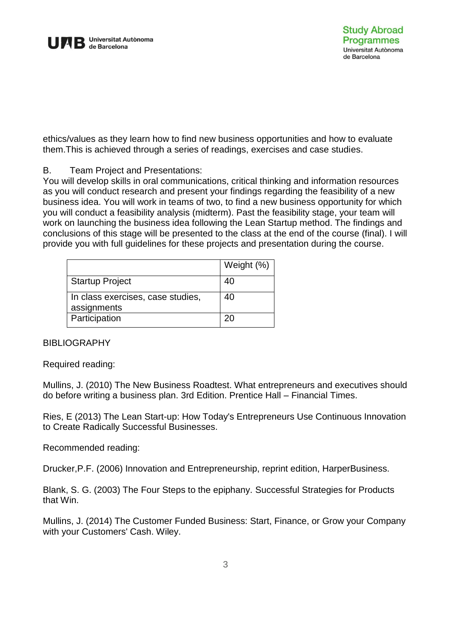

ethics/values as they learn how to find new business opportunities and how to evaluate them.This is achieved through a series of readings, exercises and case studies.

B. Team Project and Presentations:

You will develop skills in oral communications, critical thinking and information resources as you will conduct research and present your findings regarding the feasibility of a new business idea. You will work in teams of two, to find a new business opportunity for which you will conduct a feasibility analysis (midterm). Past the feasibility stage, your team will work on launching the business idea following the Lean Startup method. The findings and conclusions of this stage will be presented to the class at the end of the course (final). I will provide you with full guidelines for these projects and presentation during the course.

|                                                  | Weight (%) |
|--------------------------------------------------|------------|
| <b>Startup Project</b>                           | 40         |
| In class exercises, case studies,<br>assignments | 40         |
| Participation                                    | 20         |

#### **BIBLIOGRAPHY**

Required reading:

Mullins, J. (2010) The New Business Roadtest. What entrepreneurs and executives should do before writing a business plan. 3rd Edition. Prentice Hall – Financial Times.

Ries, E (2013) The Lean Start-up: How Today's Entrepreneurs Use Continuous Innovation to Create Radically Successful Businesses.

Recommended reading:

Drucker,P.F. (2006) Innovation and Entrepreneurship, reprint edition, HarperBusiness.

Blank, S. G. (2003) The Four Steps to the epiphany. Successful Strategies for Products that Win.

Mullins, J. (2014) The Customer Funded Business: Start, Finance, or Grow your Company with your Customers' Cash. Wiley.